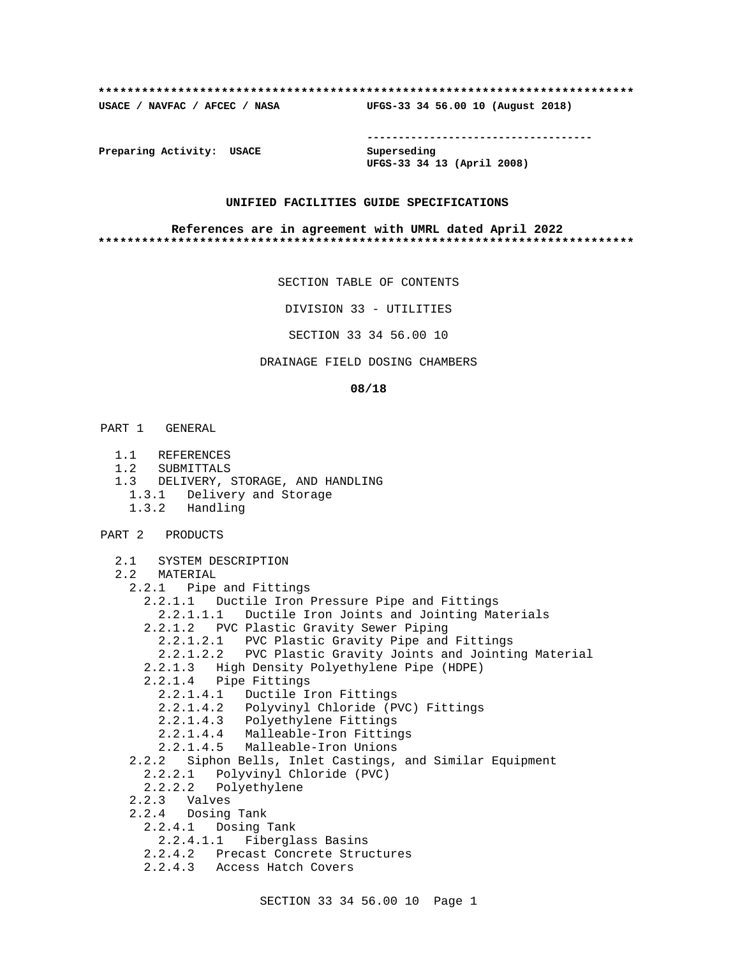#### **\*\*\*\*\*\*\*\*\*\*\*\*\*\*\*\*\*\*\*\*\*\*\*\*\*\*\*\*\*\*\*\*\*\*\*\*\*\*\*\*\*\*\*\*\*\*\*\*\*\*\*\*\*\*\*\*\*\*\*\*\*\*\*\*\*\*\*\*\*\*\*\*\*\***

**USACE / NAVFAC / AFCEC / NASA UFGS-33 34 56.00 10 (August 2018)**

**------------------------------------**

**Preparing Activity: USACE Superseding**

**UFGS-33 34 13 (April 2008)**

## **UNIFIED FACILITIES GUIDE SPECIFICATIONS**

#### **References are in agreement with UMRL dated April 2022 \*\*\*\*\*\*\*\*\*\*\*\*\*\*\*\*\*\*\*\*\*\*\*\*\*\*\*\*\*\*\*\*\*\*\*\*\*\*\*\*\*\*\*\*\*\*\*\*\*\*\*\*\*\*\*\*\*\*\*\*\*\*\*\*\*\*\*\*\*\*\*\*\*\***

SECTION TABLE OF CONTENTS

DIVISION 33 - UTILITIES

SECTION 33 34 56.00 10

DRAINAGE FIELD DOSING CHAMBERS

#### **08/18**

- PART 1 GENERAL
	- 1.1 REFERENCES
	- 1.2 SUBMITTALS
	- 1.3 DELIVERY, STORAGE, AND HANDLING
		- 1.3.1 Delivery and Storage
		- 1.3.2 Handling
- PART 2 PRODUCTS

```
 2.1 SYSTEM DESCRIPTION
2.2 MATERIAL
   2.2.1 Pipe and Fittings
     2.2.1.1 Ductile Iron Pressure Pipe and Fittings
       2.2.1.1.1 Ductile Iron Joints and Jointing Materials
     2.2.1.2 PVC Plastic Gravity Sewer Piping
       2.2.1.2.1 PVC Plastic Gravity Pipe and Fittings
       2.2.1.2.2 PVC Plastic Gravity Joints and Jointing Material
     2.2.1.3 High Density Polyethylene Pipe (HDPE)
     2.2.1.4 Pipe Fittings
       2.2.1.4.1 Ductile Iron Fittings
2.2.1.4.2 Polyvinyl Chloride (PVC) Fittings
2.2.1.4.3 Polyethylene Fittings
2.2.1.4.4 Malleable-Iron Fittings
       2.2.1.4.5 Malleable-Iron Unions
   2.2.2 Siphon Bells, Inlet Castings, and Similar Equipment
     2.2.2.1 Polyvinyl Chloride (PVC)
     2.2.2.2 Polyethylene
   2.2.3 Valves
   2.2.4 Dosing Tank
     2.2.4.1 Dosing Tank
       2.2.4.1.1 Fiberglass Basins
     2.2.4.2 Precast Concrete Structures
```
2.2.4.3 Access Hatch Covers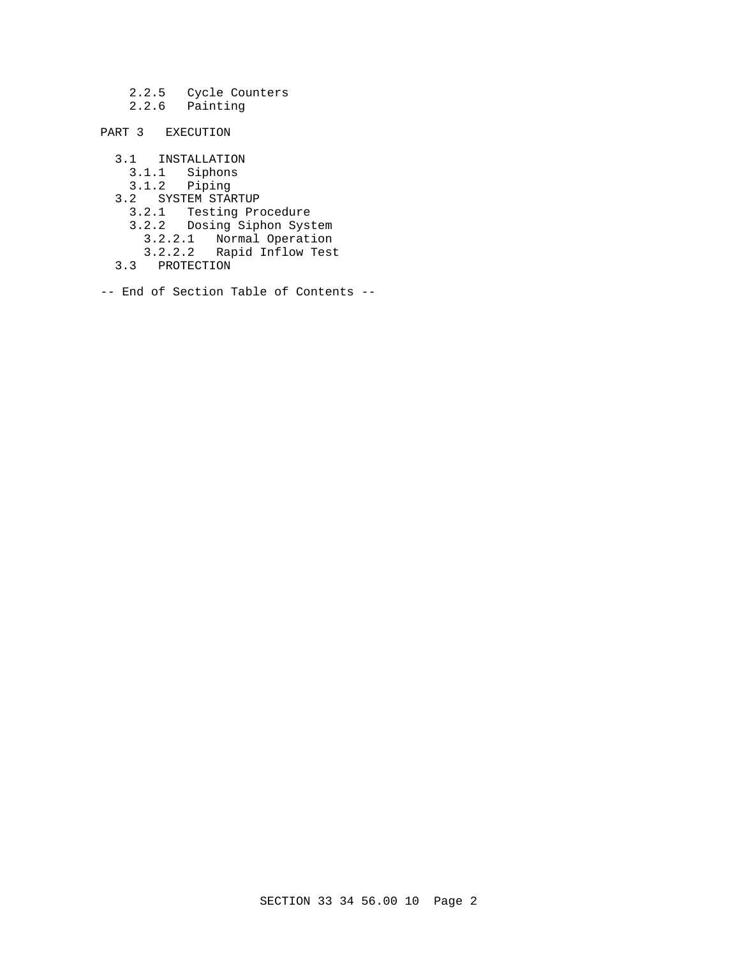2.2.5 Cycle Counters 2.2.6 Painting

PART 3 EXECUTION

 3.1 INSTALLATION 3.1.1 Siphons 3.1.2 Piping 3.2 SYSTEM STARTUP 3.2.1 Testing Procedure 3.2.2 Dosing Siphon System 3.2.2.1 Normal Operation 3.2.2.2 Rapid Inflow Test 3.3 PROTECTION

-- End of Section Table of Contents --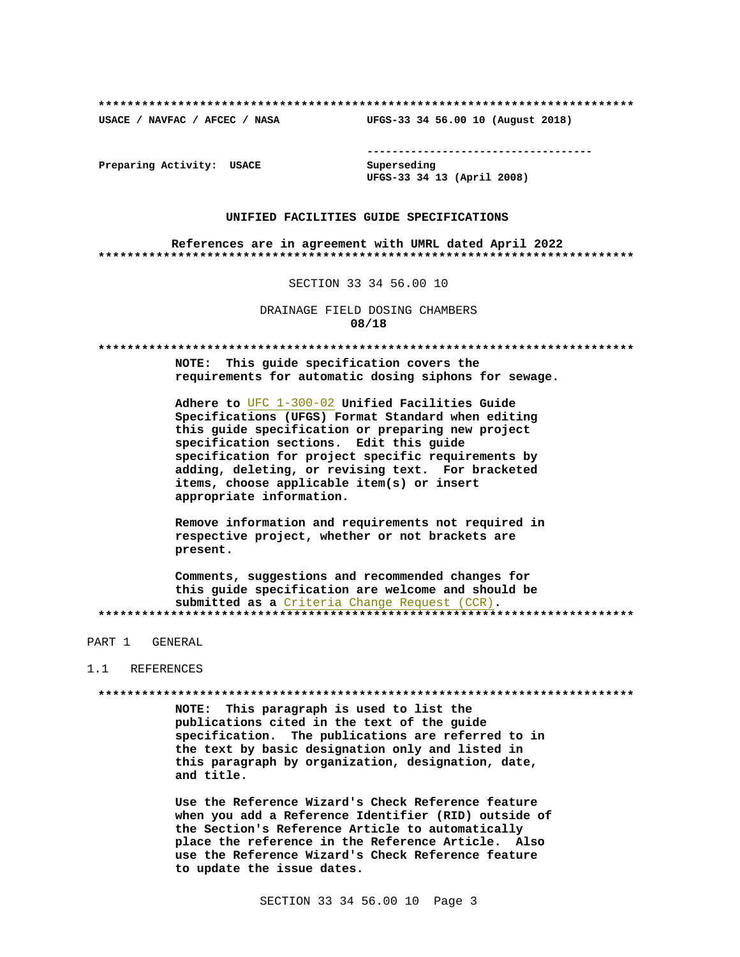USACE / NAVFAC / AFCEC / NASA

--------------------------------------

Preparing Activity: USACE

Superseding UFGS-33 34 13 (April 2008)

UFGS-33 34 56.00 10 (August 2018)

#### UNIFIED FACILITIES GUIDE SPECIFICATIONS

References are in agreement with UMRL dated April 2022 

SECTION 33 34 56.00 10

DRAINAGE FIELD DOSING CHAMBERS 08/18

NOTE: This guide specification covers the requirements for automatic dosing siphons for sewage.

Adhere to UFC 1-300-02 Unified Facilities Guide Specifications (UFGS) Format Standard when editing this guide specification or preparing new project specification sections. Edit this quide specification for project specific requirements by adding, deleting, or revising text. For bracketed items, choose applicable item(s) or insert appropriate information.

Remove information and requirements not required in respective project, whether or not brackets are present.

Comments, suggestions and recommended changes for this guide specification are welcome and should be submitted as a Criteria Change Request (CCR). 

PART 1 GENERAL

#### 1 1 REFERENCES

NOTE: This paragraph is used to list the publications cited in the text of the guide specification. The publications are referred to in the text by basic designation only and listed in this paragraph by organization, designation, date, and title.

Use the Reference Wizard's Check Reference feature when you add a Reference Identifier (RID) outside of the Section's Reference Article to automatically place the reference in the Reference Article. Also use the Reference Wizard's Check Reference feature to update the issue dates.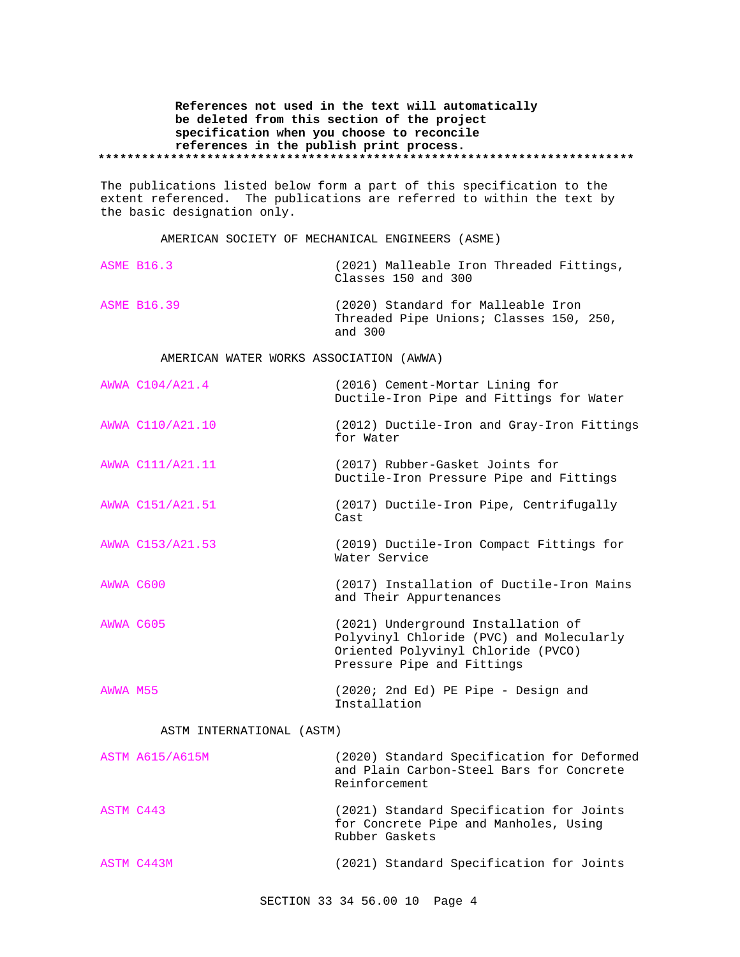## **References not used in the text will automatically be deleted from this section of the project specification when you choose to reconcile references in the publish print process. \*\*\*\*\*\*\*\*\*\*\*\*\*\*\*\*\*\*\*\*\*\*\*\*\*\*\*\*\*\*\*\*\*\*\*\*\*\*\*\*\*\*\*\*\*\*\*\*\*\*\*\*\*\*\*\*\*\*\*\*\*\*\*\*\*\*\*\*\*\*\*\*\*\***

The publications listed below form a part of this specification to the extent referenced. The publications are referred to within the text by the basic designation only.

AMERICAN SOCIETY OF MECHANICAL ENGINEERS (ASME)

| <b>ASME B16.3</b>  | (2021) Malleable Iron Threaded Fittings,<br>Classes 150 and 300                          |
|--------------------|------------------------------------------------------------------------------------------|
| <b>ASME B16.39</b> | (2020) Standard for Malleable Iron<br>Threaded Pipe Unions; Classes 150, 250,<br>and 300 |

AMERICAN WATER WORKS ASSOCIATION (AWWA)

| AWWA C104/A21.4  | (2016) Cement-Mortar Lining for<br>Ductile-Iron Pipe and Fittings for Water                                                                        |
|------------------|----------------------------------------------------------------------------------------------------------------------------------------------------|
| AWWA C110/A21.10 | (2012) Ductile-Iron and Gray-Iron Fittings<br>for Water                                                                                            |
| AWWA C111/A21.11 | (2017) Rubber-Gasket Joints for<br>Ductile-Iron Pressure Pipe and Fittings                                                                         |
| AWWA C151/A21.51 | (2017) Ductile-Iron Pipe, Centrifugally<br>Cast                                                                                                    |
| AWWA C153/A21.53 | (2019) Ductile-Iron Compact Fittings for<br>Water Service                                                                                          |
| AWWA C600        | (2017) Installation of Ductile-Iron Mains<br>and Their Appurtenances                                                                               |
| AWWA C605        | (2021) Underground Installation of<br>Polyvinyl Chloride (PVC) and Molecularly<br>Oriented Polyvinyl Chloride (PVCO)<br>Pressure Pipe and Fittings |
| AWWA M55         | $(2020; 2nd Ed)$ PE Pipe - Design and<br>Installation                                                                                              |

## ASTM INTERNATIONAL (ASTM)

|           | <b>ASTM A615/A615M</b> | (2020) Standard Specification for Deformed<br>and Plain Carbon-Steel Bars for Concrete<br>Reinforcement |
|-----------|------------------------|---------------------------------------------------------------------------------------------------------|
| ASTM C443 |                        | (2021) Standard Specification for Joints<br>for Concrete Pipe and Manholes, Using<br>Rubber Gaskets     |
|           | ASTM C443M             | (2021) Standard Specification for Joints                                                                |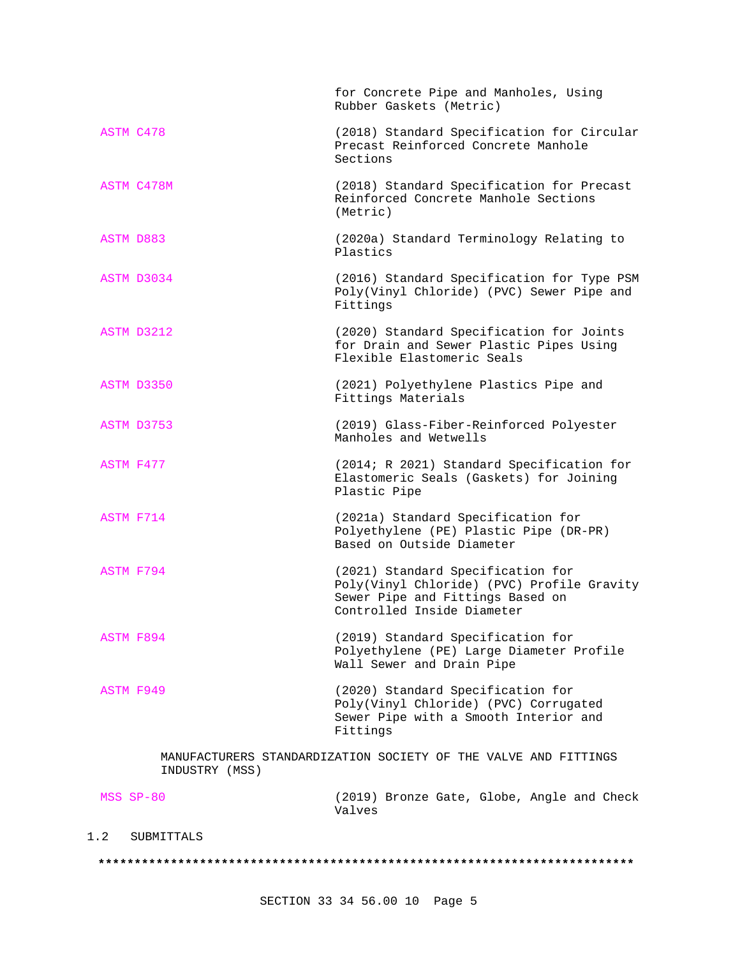|                | for Concrete Pipe and Manholes, Using<br>Rubber Gaskets (Metric)                                                                                  |
|----------------|---------------------------------------------------------------------------------------------------------------------------------------------------|
| ASTM C478      | (2018) Standard Specification for Circular<br>Precast Reinforced Concrete Manhole<br>Sections                                                     |
| ASTM C478M     | (2018) Standard Specification for Precast<br>Reinforced Concrete Manhole Sections<br>(Metric)                                                     |
| ASTM D883      | (2020a) Standard Terminology Relating to<br>Plastics                                                                                              |
| ASTM D3034     | (2016) Standard Specification for Type PSM<br>Poly(Vinyl Chloride) (PVC) Sewer Pipe and<br>Fittings                                               |
| ASTM D3212     | (2020) Standard Specification for Joints<br>for Drain and Sewer Plastic Pipes Using<br>Flexible Elastomeric Seals                                 |
| ASTM D3350     | (2021) Polyethylene Plastics Pipe and<br>Fittings Materials                                                                                       |
| ASTM D3753     | (2019) Glass-Fiber-Reinforced Polyester<br>Manholes and Wetwells                                                                                  |
| ASTM F477      | (2014; R 2021) Standard Specification for<br>Elastomeric Seals (Gaskets) for Joining<br>Plastic Pipe                                              |
| ASTM F714      | (2021a) Standard Specification for<br>Polyethylene (PE) Plastic Pipe (DR-PR)<br>Based on Outside Diameter                                         |
| ASTM F794      | (2021) Standard Specification for<br>Poly(Vinyl Chloride) (PVC) Profile Gravity<br>Sewer Pipe and Fittings Based on<br>Controlled Inside Diameter |
| ASTM F894      | (2019) Standard Specification for<br>Polyethylene (PE) Large Diameter Profile<br>Wall Sewer and Drain Pipe                                        |
| ASTM F949      | (2020) Standard Specification for<br>Poly(Vinyl Chloride) (PVC) Corrugated<br>Sewer Pipe with a Smooth Interior and<br>Fittings                   |
| INDUSTRY (MSS) | MANUFACTURERS STANDARDIZATION SOCIETY OF THE VALVE AND FITTINGS                                                                                   |
| MSS SP-80      | (2019) Bronze Gate, Globe, Angle and Check<br>Valves                                                                                              |

# 1.2 SUBMITTALS

#### **\*\*\*\*\*\*\*\*\*\*\*\*\*\*\*\*\*\*\*\*\*\*\*\*\*\*\*\*\*\*\*\*\*\*\*\*\*\*\*\*\*\*\*\*\*\*\*\*\*\*\*\*\*\*\*\*\*\*\*\*\*\*\*\*\*\*\*\*\*\*\*\*\*\***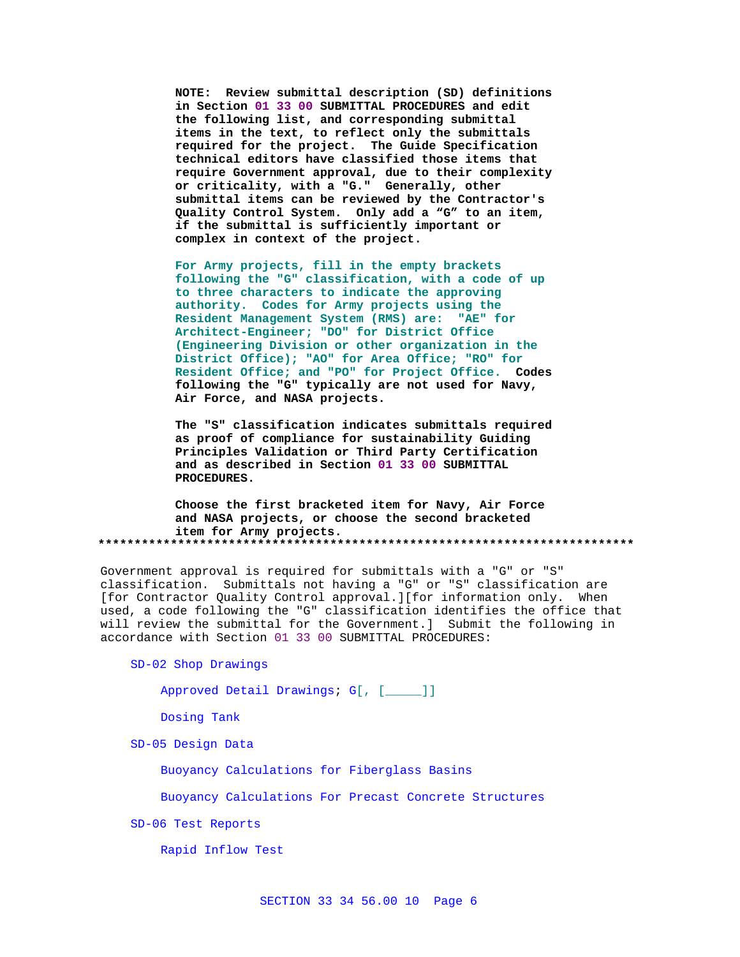**NOTE: Review submittal description (SD) definitions in Section 01 33 00 SUBMITTAL PROCEDURES and edit the following list, and corresponding submittal items in the text, to reflect only the submittals required for the project. The Guide Specification technical editors have classified those items that require Government approval, due to their complexity or criticality, with a "G." Generally, other submittal items can be reviewed by the Contractor's Quality Control System. Only add a "G" to an item, if the submittal is sufficiently important or complex in context of the project.**

**For Army projects, fill in the empty brackets following the "G" classification, with a code of up to three characters to indicate the approving authority. Codes for Army projects using the Resident Management System (RMS) are: "AE" for Architect-Engineer; "DO" for District Office (Engineering Division or other organization in the District Office); "AO" for Area Office; "RO" for Resident Office; and "PO" for Project Office. Codes following the "G" typically are not used for Navy, Air Force, and NASA projects.**

**The "S" classification indicates submittals required as proof of compliance for sustainability Guiding Principles Validation or Third Party Certification and as described in Section 01 33 00 SUBMITTAL PROCEDURES.**

**Choose the first bracketed item for Navy, Air Force and NASA projects, or choose the second bracketed item for Army projects. \*\*\*\*\*\*\*\*\*\*\*\*\*\*\*\*\*\*\*\*\*\*\*\*\*\*\*\*\*\*\*\*\*\*\*\*\*\*\*\*\*\*\*\*\*\*\*\*\*\*\*\*\*\*\*\*\*\*\*\*\*\*\*\*\*\*\*\*\*\*\*\*\*\***

Government approval is required for submittals with a "G" or "S" classification. Submittals not having a "G" or "S" classification are [for Contractor Quality Control approval.][for information only. When used, a code following the "G" classification identifies the office that will review the submittal for the Government.] Submit the following in accordance with Section 01 33 00 SUBMITTAL PROCEDURES:

SD-02 Shop Drawings

Approved Detail Drawings; G[, [\_\_\_\_\_]]

Dosing Tank

SD-05 Design Data

Buoyancy Calculations for Fiberglass Basins

Buoyancy Calculations For Precast Concrete Structures

SD-06 Test Reports

Rapid Inflow Test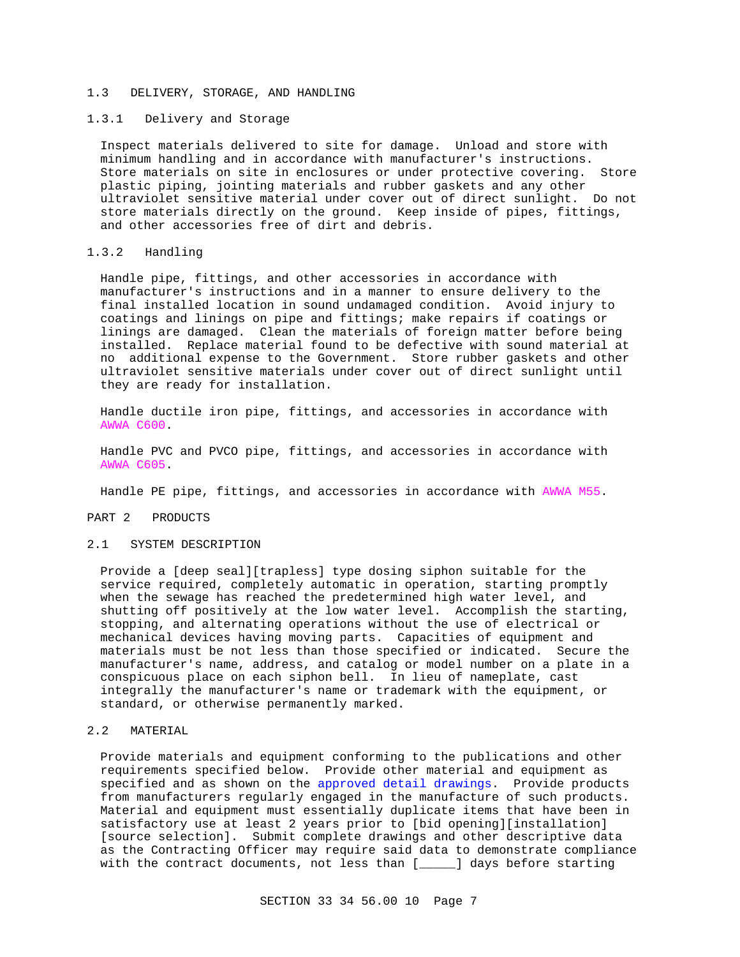#### 1.3 DELIVERY, STORAGE, AND HANDLING

## 1.3.1 Delivery and Storage

Inspect materials delivered to site for damage. Unload and store with minimum handling and in accordance with manufacturer's instructions. Store materials on site in enclosures or under protective covering. Store plastic piping, jointing materials and rubber gaskets and any other ultraviolet sensitive material under cover out of direct sunlight. Do not store materials directly on the ground. Keep inside of pipes, fittings, and other accessories free of dirt and debris.

## 1.3.2 Handling

Handle pipe, fittings, and other accessories in accordance with manufacturer's instructions and in a manner to ensure delivery to the final installed location in sound undamaged condition. Avoid injury to coatings and linings on pipe and fittings; make repairs if coatings or linings are damaged. Clean the materials of foreign matter before being installed. Replace material found to be defective with sound material at no additional expense to the Government. Store rubber gaskets and other ultraviolet sensitive materials under cover out of direct sunlight until they are ready for installation.

Handle ductile iron pipe, fittings, and accessories in accordance with AWWA C600.

Handle PVC and PVCO pipe, fittings, and accessories in accordance with AWWA C605.

Handle PE pipe, fittings, and accessories in accordance with AWWA M55.

## PART 2 PRODUCTS

#### 2.1 SYSTEM DESCRIPTION

Provide a [deep seal][trapless] type dosing siphon suitable for the service required, completely automatic in operation, starting promptly when the sewage has reached the predetermined high water level, and shutting off positively at the low water level. Accomplish the starting, stopping, and alternating operations without the use of electrical or mechanical devices having moving parts. Capacities of equipment and materials must be not less than those specified or indicated. Secure the manufacturer's name, address, and catalog or model number on a plate in a conspicuous place on each siphon bell. In lieu of nameplate, cast integrally the manufacturer's name or trademark with the equipment, or standard, or otherwise permanently marked.

#### 2.2 MATERIAL

Provide materials and equipment conforming to the publications and other requirements specified below. Provide other material and equipment as specified and as shown on the approved detail drawings. Provide products from manufacturers regularly engaged in the manufacture of such products. Material and equipment must essentially duplicate items that have been in satisfactory use at least 2 years prior to [bid opening][installation] [source selection]. Submit complete drawings and other descriptive data as the Contracting Officer may require said data to demonstrate compliance with the contract documents, not less than [\_\_\_\_\_] days before starting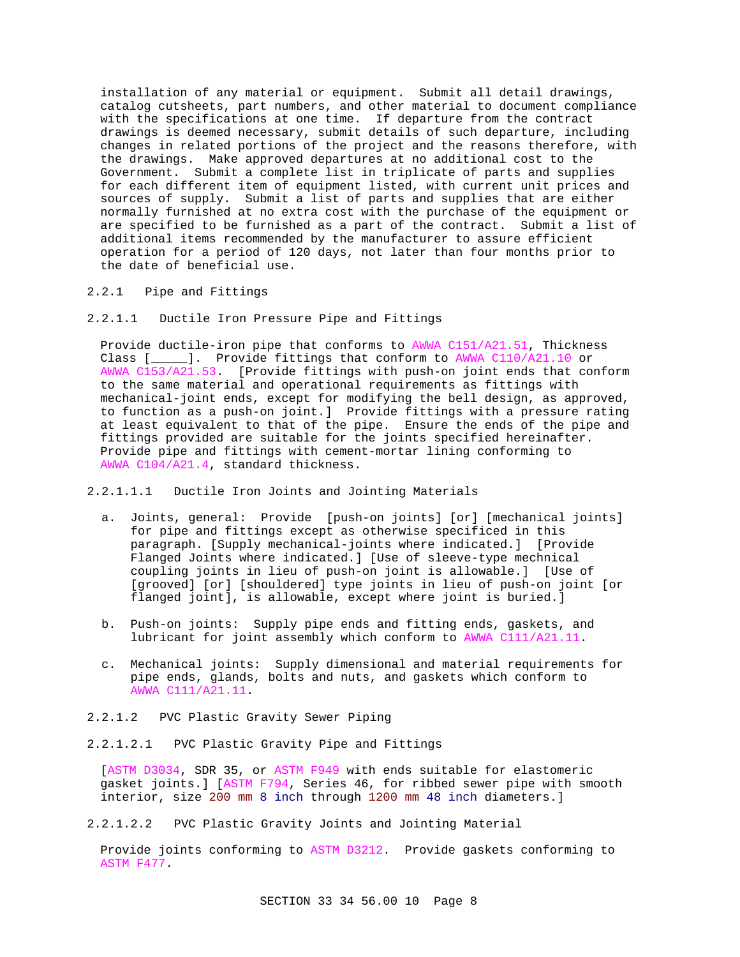installation of any material or equipment. Submit all detail drawings, catalog cutsheets, part numbers, and other material to document compliance with the specifications at one time. If departure from the contract drawings is deemed necessary, submit details of such departure, including changes in related portions of the project and the reasons therefore, with the drawings. Make approved departures at no additional cost to the Government. Submit a complete list in triplicate of parts and supplies for each different item of equipment listed, with current unit prices and sources of supply. Submit a list of parts and supplies that are either normally furnished at no extra cost with the purchase of the equipment or are specified to be furnished as a part of the contract. Submit a list of additional items recommended by the manufacturer to assure efficient operation for a period of 120 days, not later than four months prior to the date of beneficial use.

## 2.2.1 Pipe and Fittings

2.2.1.1 Ductile Iron Pressure Pipe and Fittings

Provide ductile-iron pipe that conforms to AWWA C151/A21.51, Thickness Class [\_\_\_\_\_]. Provide fittings that conform to AWWA C110/A21.10 or AWWA C153/A21.53. [Provide fittings with push-on joint ends that conform to the same material and operational requirements as fittings with mechanical-joint ends, except for modifying the bell design, as approved, to function as a push-on joint.] Provide fittings with a pressure rating at least equivalent to that of the pipe. Ensure the ends of the pipe and fittings provided are suitable for the joints specified hereinafter. Provide pipe and fittings with cement-mortar lining conforming to AWWA C104/A21.4, standard thickness.

2.2.1.1.1 Ductile Iron Joints and Jointing Materials

- a. Joints, general: Provide [push-on joints] [or] [mechanical joints] for pipe and fittings except as otherwise specificed in this paragraph. [Supply mechanical-joints where indicated.] [Provide Flanged Joints where indicated.] [Use of sleeve-type mechnical coupling joints in lieu of push-on joint is allowable.] [Use of [grooved] [or] [shouldered] type joints in lieu of push-on joint [or flanged joint], is allowable, except where joint is buried.]
- b. Push-on joints: Supply pipe ends and fitting ends, gaskets, and lubricant for joint assembly which conform to AWWA C111/A21.11.
- c. Mechanical joints: Supply dimensional and material requirements for pipe ends, glands, bolts and nuts, and gaskets which conform to AWWA C111/A21.11.
- 2.2.1.2 PVC Plastic Gravity Sewer Piping
- 2.2.1.2.1 PVC Plastic Gravity Pipe and Fittings

[ASTM D3034, SDR 35, or ASTM F949 with ends suitable for elastomeric gasket joints.] [ASTM F794, Series 46, for ribbed sewer pipe with smooth interior, size 200 mm 8 inch through 1200 mm 48 inch diameters.]

2.2.1.2.2 PVC Plastic Gravity Joints and Jointing Material

Provide joints conforming to ASTM D3212. Provide gaskets conforming to ASTM F477.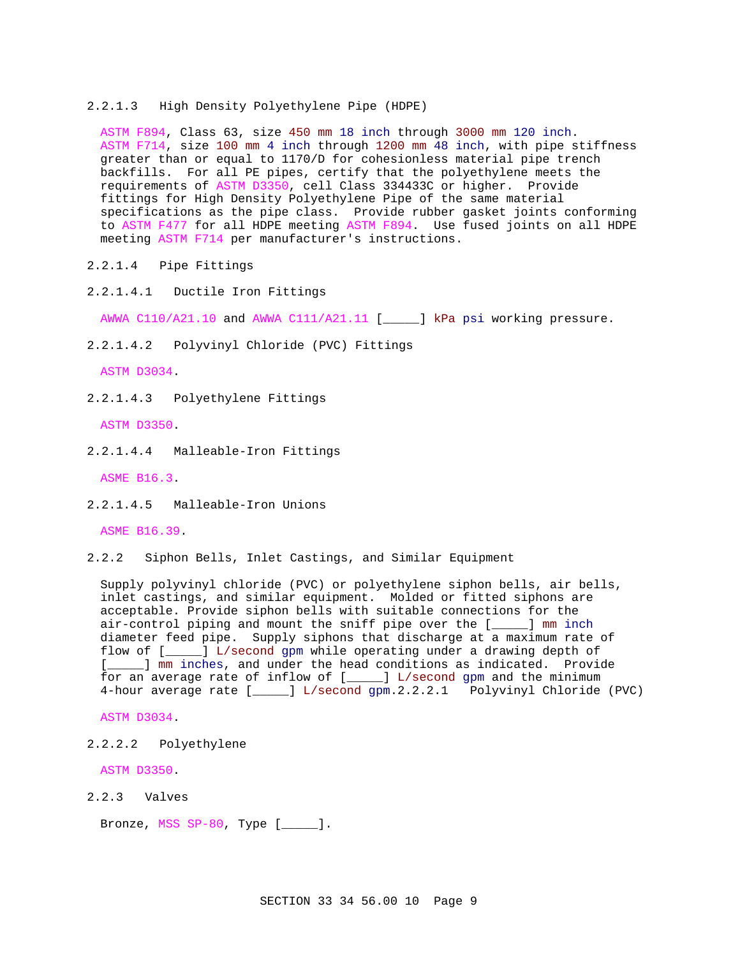#### 2.2.1.3 High Density Polyethylene Pipe (HDPE)

ASTM F894, Class 63, size 450 mm 18 inch through 3000 mm 120 inch. ASTM F714, size 100 mm 4 inch through 1200 mm 48 inch, with pipe stiffness greater than or equal to 1170/D for cohesionless material pipe trench backfills. For all PE pipes, certify that the polyethylene meets the requirements of ASTM D3350, cell Class 334433C or higher. Provide fittings for High Density Polyethylene Pipe of the same material specifications as the pipe class. Provide rubber gasket joints conforming to ASTM F477 for all HDPE meeting ASTM F894. Use fused joints on all HDPE meeting ASTM F714 per manufacturer's instructions.

- 2.2.1.4 Pipe Fittings
- 2.2.1.4.1 Ductile Iron Fittings

AWWA C110/A21.10 and AWWA C111/A21.11 [\_\_\_\_\_] kPa psi working pressure.

2.2.1.4.2 Polyvinyl Chloride (PVC) Fittings

ASTM D3034.

2.2.1.4.3 Polyethylene Fittings

ASTM D3350.

2.2.1.4.4 Malleable-Iron Fittings

ASME B16.3.

2.2.1.4.5 Malleable-Iron Unions

ASME B16.39.

2.2.2 Siphon Bells, Inlet Castings, and Similar Equipment

Supply polyvinyl chloride (PVC) or polyethylene siphon bells, air bells, inlet castings, and similar equipment. Molded or fitted siphons are acceptable. Provide siphon bells with suitable connections for the air-control piping and mount the sniff pipe over the [\_\_\_\_\_] mm inch diameter feed pipe. Supply siphons that discharge at a maximum rate of flow of [\_\_\_\_\_] L/second gpm while operating under a drawing depth of [\_\_\_\_\_] mm inches, and under the head conditions as indicated. Provide for an average rate of inflow of [\_\_\_\_\_] L/second gpm and the minimum 4-hour average rate [\_\_\_\_\_] L/second gpm.2.2.2.1 Polyvinyl Chloride (PVC)

ASTM D3034.

2.2.2.2 Polyethylene

ASTM D3350.

2.2.3 Valves

Bronze, MSS SP-80, Type [\_\_\_\_\_].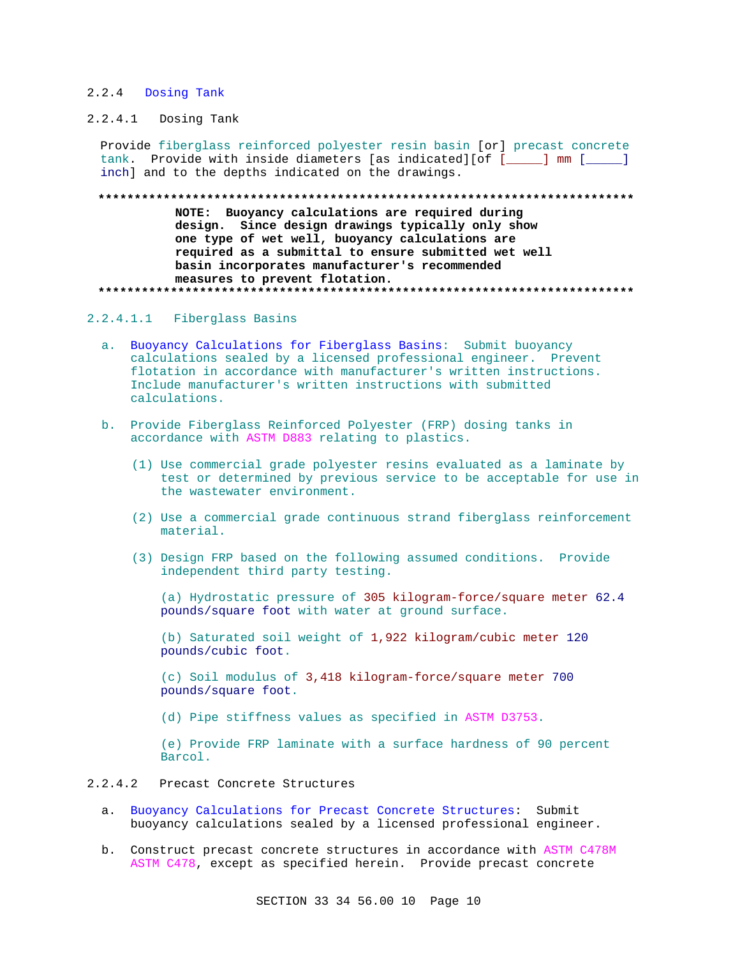## 2.2.4 Dosing Tank

## 2.2.4.1 Dosing Tank

Provide fiberglass reinforced polyester resin basin [or] precast concrete tank. Provide with inside diameters [as indicated][of [\_\_\_\_\_] mm [\_\_\_\_\_] inch] and to the depths indicated on the drawings.

#### 

NOTE: Buoyancy calculations are required during design. Since design drawings typically only show one type of wet well, buoyancy calculations are required as a submittal to ensure submitted wet well basin incorporates manufacturer's recommended measures to prevent flotation. 

## 2.2.4.1.1 Fiberglass Basins

- a. Buoyancy Calculations for Fiberglass Basins: Submit buoyancy calculations sealed by a licensed professional engineer. Prevent flotation in accordance with manufacturer's written instructions. Include manufacturer's written instructions with submitted calculations.
- b. Provide Fiberglass Reinforced Polyester (FRP) dosing tanks in accordance with ASTM D883 relating to plastics.
	- (1) Use commercial grade polyester resins evaluated as a laminate by test or determined by previous service to be acceptable for use in the wastewater environment.
	- (2) Use a commercial grade continuous strand fiberglass reinforcement material.
	- (3) Design FRP based on the following assumed conditions. Provide independent third party testing.

(a) Hydrostatic pressure of 305 kilogram-force/square meter 62.4 pounds/square foot with water at ground surface.

(b) Saturated soil weight of 1,922 kilogram/cubic meter 120 pounds/cubic foot.

(c) Soil modulus of 3,418 kilogram-force/square meter 700 pounds/square foot.

(d) Pipe stiffness values as specified in ASTM D3753.

(e) Provide FRP laminate with a surface hardness of 90 percent Barcol.

#### $2.2.4.2$ Precast Concrete Structures

- a. Buoyancy Calculations for Precast Concrete Structures: Submit buoyancy calculations sealed by a licensed professional engineer.
- b. Construct precast concrete structures in accordance with ASTM C478M ASTM C478, except as specified herein. Provide precast concrete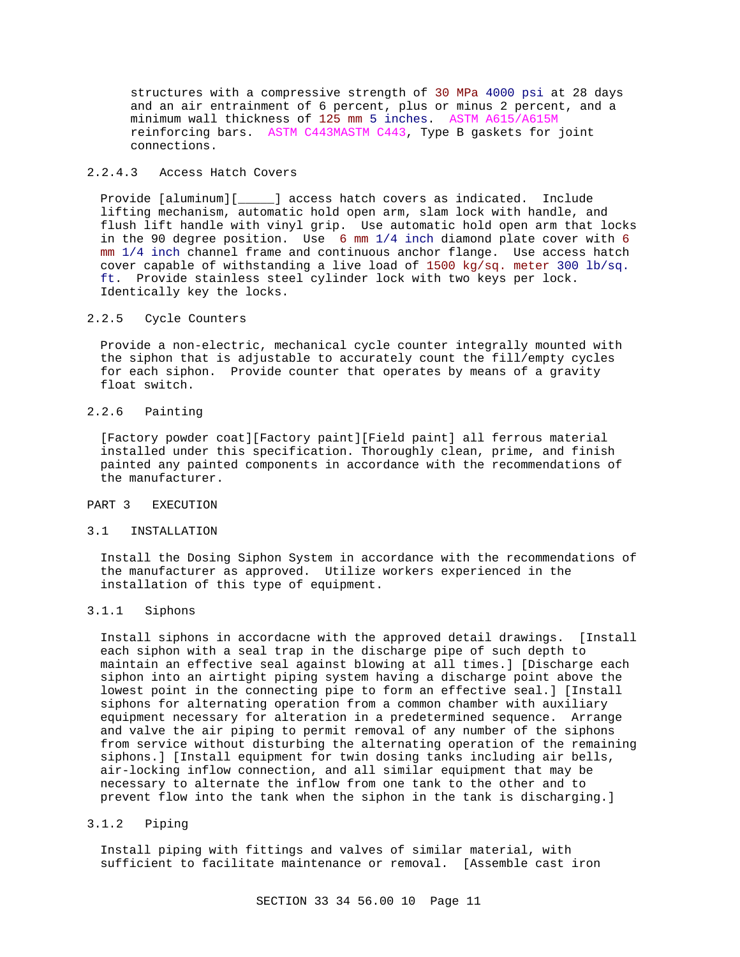structures with a compressive strength of 30 MPa 4000 psi at 28 days and an air entrainment of 6 percent, plus or minus 2 percent, and a minimum wall thickness of 125 mm 5 inches. ASTM A615/A615M reinforcing bars. ASTM C443MASTM C443, Type B gaskets for joint connections.

## 2.2.4.3 Access Hatch Covers

Provide [aluminum][\_\_\_\_\_] access hatch covers as indicated. Include lifting mechanism, automatic hold open arm, slam lock with handle, and flush lift handle with vinyl grip. Use automatic hold open arm that locks in the 90 degree position. Use 6 mm 1/4 inch diamond plate cover with 6 mm 1/4 inch channel frame and continuous anchor flange. Use access hatch cover capable of withstanding a live load of 1500 kg/sq. meter 300 lb/sq. ft. Provide stainless steel cylinder lock with two keys per lock. Identically key the locks.

#### 2.2.5 Cycle Counters

Provide a non-electric, mechanical cycle counter integrally mounted with the siphon that is adjustable to accurately count the fill/empty cycles for each siphon. Provide counter that operates by means of a gravity float switch.

## 2.2.6 Painting

[Factory powder coat][Factory paint][Field paint] all ferrous material installed under this specification. Thoroughly clean, prime, and finish painted any painted components in accordance with the recommendations of the manufacturer.

#### PART 3 EXECUTION

#### 3.1 INSTALLATION

Install the Dosing Siphon System in accordance with the recommendations of the manufacturer as approved. Utilize workers experienced in the installation of this type of equipment.

## 3.1.1 Siphons

Install siphons in accordacne with the approved detail drawings. [Install each siphon with a seal trap in the discharge pipe of such depth to maintain an effective seal against blowing at all times.] [Discharge each siphon into an airtight piping system having a discharge point above the lowest point in the connecting pipe to form an effective seal.] [Install siphons for alternating operation from a common chamber with auxiliary equipment necessary for alteration in a predetermined sequence. Arrange and valve the air piping to permit removal of any number of the siphons from service without disturbing the alternating operation of the remaining siphons.] [Install equipment for twin dosing tanks including air bells, air-locking inflow connection, and all similar equipment that may be necessary to alternate the inflow from one tank to the other and to prevent flow into the tank when the siphon in the tank is discharging.]

## 3.1.2 Piping

Install piping with fittings and valves of similar material, with sufficient to facilitate maintenance or removal. [Assemble cast iron